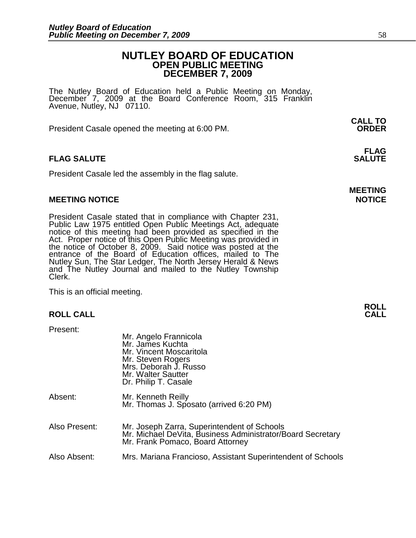# **NUTLEY BOARD OF EDUCATION OPEN PUBLIC MEETING DECEMBER 7, 2009**

The Nutley Board of Education held a Public Meeting on Monday, December 7, 2009 at the Board Conference Room, 315 Franklin Avenue, Nutley, NJ 07110.

 **CALL TO**  President Casale opened the meeting at 6:00 PM. **ORDER**

# **FLAG SALUTE** SALUTE SALUTE SALUTE SALUTE SALUTE

President Casale led the assembly in the flag salute.

# **MEETING NOTICE NOTICE**

President Casale stated that in compliance with Chapter 231, Public Law 1975 entitled Open Public Meetings Act, adequate notice of this meeting had been provided as specified in the Act. Proper notice of this Open Public Meeting was provided in the notice of October 8, 2009. Said notice was posted at the entrance of the Board of Education offices, mailed to The Nutley Sun, The Star Ledger, The North Jersey Herald & News and The Nutley Journal and mailed to the Nutley Township Clerk.

This is an official meeting.

# **ROLL CALL**

Present:

|               | Mr. Angelo Frannicola<br>Mr. James Kuchta<br>Mr. Vincent Moscaritola<br>Mr. Steven Rogers<br>Mrs. Deborah J. Russo<br>Mr. Walter Sautter<br>Dr. Philip T. Casale |
|---------------|------------------------------------------------------------------------------------------------------------------------------------------------------------------|
| Absent:       | Mr. Kenneth Reilly<br>Mr. Thomas J. Sposato (arrived 6:20 PM)                                                                                                    |
| Also Present: | Mr. Joseph Zarra, Superintendent of Schools<br>Mr. Michael DeVita, Business Administrator/Board Secretary<br>Mr. Frank Pomaco, Board Attorney                    |
| Also Absent:  | Mrs. Mariana Francioso, Assistant Superintendent of Schools                                                                                                      |

**FLAG** 

**MEETING** 

**ROLL**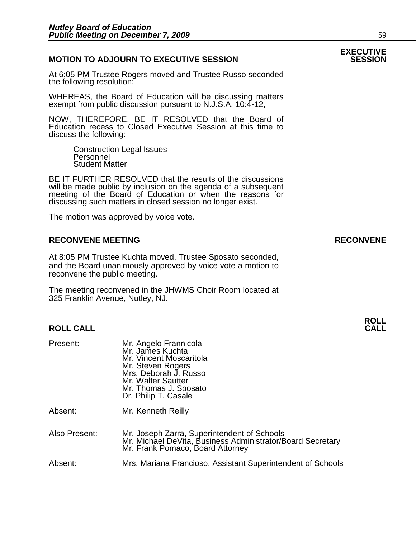# **MOTION TO ADJOURN TO EXECUTIVE SESSION**

At 6:05 PM Trustee Rogers moved and Trustee Russo seconded the following resolution:

WHEREAS, the Board of Education will be discussing matters exempt from public discussion pursuant to N.J.S.A. 10:4-12,

NOW, THEREFORE, BE IT RESOLVED that the Board of Education recess to Closed Executive Session at this time to discuss the following:

> Construction Legal Issues Personnel Student Matter

BE IT FURTHER RESOLVED that the results of the discussions will be made public by inclusion on the agenda of a subsequent meeting of the Board of Education or when the reasons for discussing such matters in closed session no longer exist.

The motion was approved by voice vote.

# **RECONVENE MEETING RECONVENE**

At 8:05 PM Trustee Kuchta moved, Trustee Sposato seconded, and the Board unanimously approved by voice vote a motion to reconvene the public meeting.

The meeting reconvened in the JHWMS Choir Room located at 325 Franklin Avenue, Nutley, NJ.

## **ROLL CALL CALL**

| Present: | Mr. Angelo Frannicola<br>Mr. James Kuchta<br>Mr. Vincent Moscaritola<br>Mr. Steven Rogers<br>Mrs. Deborah J. Russo<br>Mr. Walter Sautter<br>Mr. Thomas J. Sposato<br>Dr. Philip T. Casale |
|----------|-------------------------------------------------------------------------------------------------------------------------------------------------------------------------------------------|
| Absent:  | Mr. Kenneth Reilly                                                                                                                                                                        |

Also Present: Mr. Joseph Zarra, Superintendent of Schools Mr. Michael DeVita, Business Administrator/Board Secretary Mr. Frank Pomaco, Board Attorney

# Absent: Mrs. Mariana Francioso, Assistant Superintendent of Schools

# **EXECUTIVE**

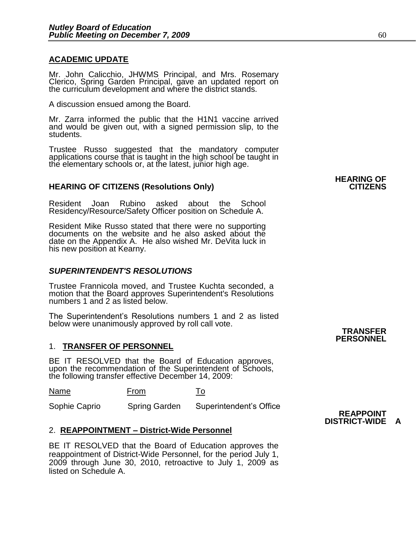# **ACADEMIC UPDATE**

Mr. John Calicchio, JHWMS Principal, and Mrs. Rosemary Clerico, Spring Garden Principal, gave an updated report on the curriculum development and where the district stands.

A discussion ensued among the Board.

Mr. Zarra informed the public that the H1N1 vaccine arrived and would be given out, with a signed permission slip, to the students.

Trustee Russo suggested that the mandatory computer applications course that is taught in the high school be taught in the elementary schools or, at the latest, junior high age.

# **HEARING OF CITIZENS (Resolutions Only)**

Resident Joan Rubino asked about the School Residency/Resource/Safety Officer position on Schedule A.

Resident Mike Russo stated that there were no supporting documents on the website and he also asked about the date on the Appendix A. He also wished Mr. DeVita luck in his new position at Kearny.

# *SUPERINTENDENT'S RESOLUTIONS*

Trustee Frannicola moved, and Trustee Kuchta seconded, a motion that the Board approves Superintendent's Resolutions numbers 1 and 2 as listed below.

The Superintendent's Resolutions numbers 1 and 2 as listed below were unanimously approved by roll call vote.

# 1. **TRANSFER OF PERSONNEL**

BE IT RESOLVED that the Board of Education approves, upon the recommendation of the Superintendent of Schools, the following transfer effective December 14, 2009:

Name From To

Sophie Caprio Spring Garden Superintendent's Office

# 2. **REAPPOINTMENT – District-Wide Personnel**

BE IT RESOLVED that the Board of Education approves the reappointment of District-Wide Personnel, for the period July 1, 2009 through June 30, 2010, retroactive to July 1, 2009 as listed on Schedule A.

#### **TRANSFER PERSONNEL**

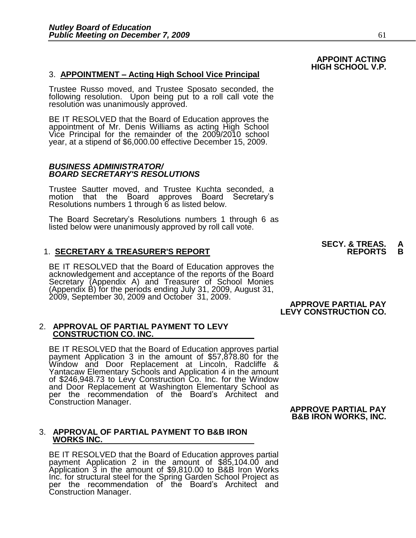## 3. **APPOINTMENT – Acting High School Vice Principal**

Trustee Russo moved, and Trustee Sposato seconded, the following resolution. Upon being put to a roll call vote the resolution was unanimously approved.

BE IT RESOLVED that the Board of Education approves the appointment of Mr. Denis Williams as acting High School Vice Principal for the remainder of the 2009/2010 school year, at a stipend of \$6,000.00 effective December 15, 2009.

#### *BUSINESS ADMINISTRATOR/ BOARD SECRETARY'S RESOLUTIONS*

Trustee Sautter moved, and Trustee Kuchta seconded, a motion that the Board approves Board Secretary's Resolutions numbers 1 through 6 as listed below.

The Board Secretary's Resolutions numbers 1 through 6 as listed below were unanimously approved by roll call vote.

## **1. SECRETARY & TREASURER'S REPORT**

BE IT RESOLVED that the Board of Education approves the acknowledgement and acceptance of the reports of the Board Secretary (Appendix A) and Treasurer of School Monies (Appendix B) for the periods ending July 31, 2009, August 31, 2009, September 30, 2009 and October 31, 2009.

#### 2. **APPROVAL OF PARTIAL PAYMENT TO LEVY CONSTRUCTION CO. INC.**

BE IT RESOLVED that the Board of Education approves partial payment Application 3 in the amount of \$57,878.80 for the Window and Door Replacement at Lincoln, Radcliffe & Yantacaw Elementary Schools and Application 4 in the amount of \$246,948.73 to Levy Construction Co. Inc. for the Window and Door Replacement at Washington Elementary School as per the recommendation of the Board's Architect and Construction Manager.

#### **APPROVE PARTIAL PAY B&B IRON WORKS, INC.**

**APPROVE PARTIAL PAY LEVY CONSTRUCTION CO.** 

#### 3. **APPROVAL OF PARTIAL PAYMENT TO B&B IRON WORKS INC.**

BE IT RESOLVED that the Board of Education approves partial payment Application 2 in the amount of \$85,104.00 and Application 3 in the amount of \$9,810.00 to B&B Iron Works Inc. for structural steel for the Spring Garden School Project as per the recommendation of the Board's Architect and Construction Manager.

**SECY. & TREAS. A** 

# **APPOINT ACTING HIGH SCHOOL V.P.**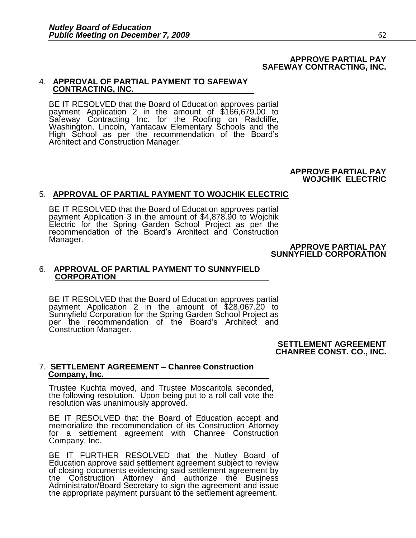#### **APPROVE PARTIAL PAY SAFEWAY CONTRACTING, INC.**

## 4. **APPROVAL OF PARTIAL PAYMENT TO SAFEWAY CONTRACTING, INC.**

BE IT RESOLVED that the Board of Education approves partial payment Application 2 in the amount of \$166,679.00 to Safeway Contracting Inc. for the Roofing on Radcliffe, Washington, Lincoln, Yantacaw Elementary Schools and the High School as per the recommendation of the Board's Architect and Construction Manager.

#### **APPROVE PARTIAL PAY WOJCHIK ELECTRIC**

# 5. **APPROVAL OF PARTIAL PAYMENT TO WOJCHIK ELECTRIC**

BE IT RESOLVED that the Board of Education approves partial payment Application 3 in the amount of \$4,878.90 to Wojchik Electric for the Spring Garden School Project as per the recommendation of the Board's Architect and Construction Manager.

**APPROVE PARTIAL PAY SUNNYFIELD CORPORATION** 

## 6. **APPROVAL OF PARTIAL PAYMENT TO SUNNYFIELD CORPORATION**

BE IT RESOLVED that the Board of Education approves partial payment Application 2 in the amount of \$28,067.20 to Sunnyfield Corporation for the Spring Garden School Project as per the recommendation of the Board's Architect and Construction Manager.

> **SETTLEMENT AGREEMENT CHANREE CONST. CO., INC.**

#### 7. **SETTLEMENT AGREEMENT – Chanree Construction Company, Inc.**

Trustee Kuchta moved, and Trustee Moscaritola seconded, the following resolution. Upon being put to a roll call vote the resolution was unanimously approved.

BE IT RESOLVED that the Board of Education accept and memorialize the recommendation of its Construction Attorney for a settlement agreement with Chanree Construction Company, Inc.

BE IT FURTHER RESOLVED that the Nutley Board of Education approve said settlement agreement subject to review of closing documents evidencing said settlement agreement by the Construction Attorney and authorize the Business Administrator/Board Secretary to sign the agreement and issue the appropriate payment pursuant to the settlement agreement.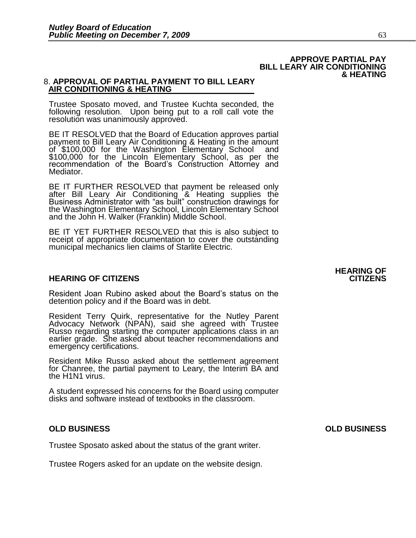#### **APPROVE PARTIAL PAY BILL LEARY AIR CONDITIONING & HEATING**

# 8. **APPROVAL OF PARTIAL PAYMENT TO BILL LEARY AIR CONDITIONING & HEATING**

Trustee Sposato moved, and Trustee Kuchta seconded, the following resolution. Upon being put to a roll call vote the resolution was unanimously approved.

BE IT RESOLVED that the Board of Education approves partial payment to Bill Leary Air Conditioning & Heating in the amount of \$100,000 for the Washington Elementary School and \$100,000 for the Lincoln Elementary School, as per the recommendation of the Board's Construction Attorney and Mediator.

BE IT FURTHER RESOLVED that payment be released only after Bill Leary Air Conditioning & Heating supplies the Business Administrator with "as built" construction drawings for the Washington Elementary School, Lincoln Elementary School and the John H. Walker (Franklin) Middle School.

BE IT YET FURTHER RESOLVED that this is also subject to receipt of appropriate documentation to cover the outstanding municipal mechanics lien claims of Starlite Electric.

# **HEARING OF CITIZENS CITIZENS**

Resident Joan Rubino asked about the Board's status on the detention policy and if the Board was in debt.

Resident Terry Quirk, representative for the Nutley Parent Advocacy Network (NPAN), said she agreed with Trustee Russo regarding starting the computer applications class in an earlier grade. She asked about teacher recommendations and emergency certifications.

Resident Mike Russo asked about the settlement agreement for Chanree, the partial payment to Leary, the Interim BA and the H<sub>1</sub>N<sub>1</sub> virus.

A student expressed his concerns for the Board using computer disks and software instead of textbooks in the classroom.

# **OLD BUSINESS OLD BUSINESS**

Trustee Sposato asked about the status of the grant writer.

Trustee Rogers asked for an update on the website design.

**HEARING OF**